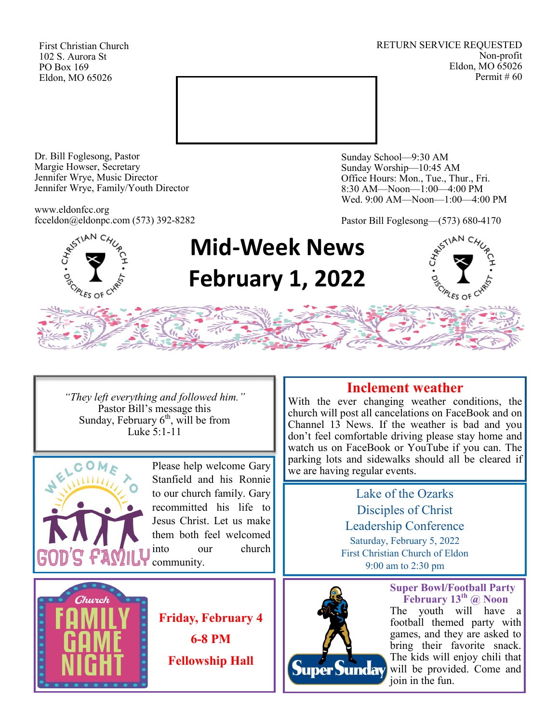First Christian Church 102 S. Aurora St PO Box 169 Eldon, MO 65026

RETURN SERVICE REQUESTED Non-profit Eldon, MO 65026 Permit # 60



Dr. Bill Foglesong, Pastor Margie Howser, Secretary Jennifer Wrye, Music Director Jennifer Wrye, Family/Youth Director

www.eldonfcc.org fcceldon@eldonpc.com (573) 392-8282 Sunday School—9:30 AM Sunday Worship—10:45 AM Office Hours: Mon., Tue., Thur., Fri. 8:30 AM—Noon—1:00—4:00 PM Wed. 9:00 AM—Noon—1:00—4:00 PM

Pastor Bill Foglesong—(573) 680-4170



# **Mid-Week News February 1, 2022**



*"They left everything and followed him."* Pastor Bill's message this Sunday, February  $6<sup>th</sup>$ , will be from Luke 5:1-11



Stanfield and his Ronnie to our church family. Gary recommitted his life to Jesus Christ. Let us make them both feel welcomed into our church community.



**Friday, February 4 6-8 PM Fellowship Hall**

# **Inclement weather**

With the ever changing weather conditions, the church will post all cancelations on FaceBook and on Channel 13 News. If the weather is bad and you don't feel comfortable driving please stay home and watch us on FaceBook or YouTube if you can. The parking lots and sidewalks should all be cleared if Please help welcome Gary we are having regular events.

> Lake of the Ozarks Disciples of Christ Leadership Conference Saturday, February 5, 2022 First Christian Church of Eldon 9:00 am to 2:30 pm



**Super Bowl/Football Party February 13th @ Noon** The youth will have a football themed party with games, and they are asked to bring their favorite snack. The kids will enjoy chili that will be provided. Come and join in the fun.